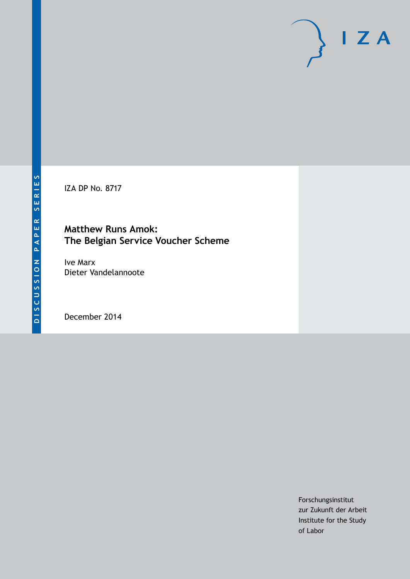IZA DP No. 8717

**Matthew Runs Amok: The Belgian Service Voucher Scheme**

Ive Marx Dieter Vandelannoote

December 2014

Forschungsinstitut zur Zukunft der Arbeit Institute for the Study of Labor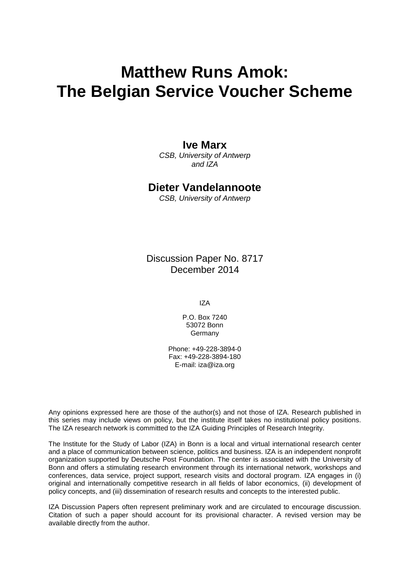# **Matthew Runs Amok: The Belgian Service Voucher Scheme**

# **Ive Marx**

*CSB, University of Antwerp and IZA*

# **Dieter Vandelannoote**

*CSB, University of Antwerp*

Discussion Paper No. 8717 December 2014

IZA

P.O. Box 7240 53072 Bonn Germany

Phone: +49-228-3894-0 Fax: +49-228-3894-180 E-mail: [iza@iza.org](mailto:iza@iza.org)

Any opinions expressed here are those of the author(s) and not those of IZA. Research published in this series may include views on policy, but the institute itself takes no institutional policy positions. The IZA research network is committed to the IZA Guiding Principles of Research Integrity.

The Institute for the Study of Labor (IZA) in Bonn is a local and virtual international research center and a place of communication between science, politics and business. IZA is an independent nonprofit organization supported by Deutsche Post Foundation. The center is associated with the University of Bonn and offers a stimulating research environment through its international network, workshops and conferences, data service, project support, research visits and doctoral program. IZA engages in (i) original and internationally competitive research in all fields of labor economics, (ii) development of policy concepts, and (iii) dissemination of research results and concepts to the interested public.

<span id="page-1-0"></span>IZA Discussion Papers often represent preliminary work and are circulated to encourage discussion. Citation of such a paper should account for its provisional character. A revised version may be available directly from the author.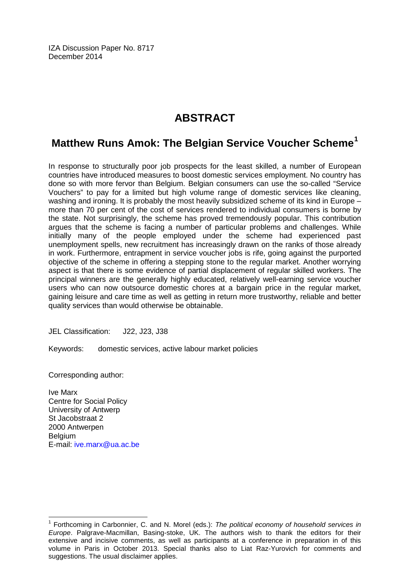IZA Discussion Paper No. 8717 December 2014

# **ABSTRACT**

# **Matthew Runs Amok: The Belgian Service Voucher Scheme[1](#page-1-0)**

In response to structurally poor job prospects for the least skilled, a number of European countries have introduced measures to boost domestic services employment. No country has done so with more fervor than Belgium. Belgian consumers can use the so-called "Service Vouchers" to pay for a limited but high volume range of domestic services like cleaning, washing and ironing. It is probably the most heavily subsidized scheme of its kind in Europe – more than 70 per cent of the cost of services rendered to individual consumers is borne by the state. Not surprisingly, the scheme has proved tremendously popular. This contribution argues that the scheme is facing a number of particular problems and challenges. While initially many of the people employed under the scheme had experienced past unemployment spells, new recruitment has increasingly drawn on the ranks of those already in work. Furthermore, entrapment in service voucher jobs is rife, going against the purported objective of the scheme in offering a stepping stone to the regular market. Another worrying aspect is that there is some evidence of partial displacement of regular skilled workers. The principal winners are the generally highly educated, relatively well-earning service voucher users who can now outsource domestic chores at a bargain price in the regular market, gaining leisure and care time as well as getting in return more trustworthy, reliable and better quality services than would otherwise be obtainable.

JEL Classification: J22, J23, J38

Keywords: domestic services, active labour market policies

Corresponding author:

Ive Marx Centre for Social Policy University of Antwerp St Jacobstraat 2 2000 Antwerpen Belgium E-mail: [ive.marx@ua.ac.be](mailto:ive.marx@ua.ac.be)

<sup>1</sup> Forthcoming in Carbonnier, C. and N. Morel (eds.): *The political economy of household services in Europe*. Palgrave-Macmillan, Basing-stoke, UK. The authors wish to thank the editors for their extensive and incisive comments, as well as participants at a conference in preparation in of this volume in Paris in October 2013. Special thanks also to Liat Raz-Yurovich for comments and suggestions. The usual disclaimer applies.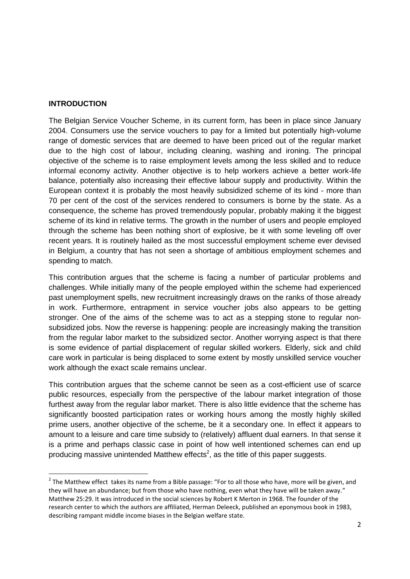### **INTRODUCTION**

1

The Belgian Service Voucher Scheme, in its current form, has been in place since January 2004. Consumers use the service vouchers to pay for a limited but potentially high-volume range of domestic services that are deemed to have been priced out of the regular market due to the high cost of labour, including cleaning, washing and ironing. The principal objective of the scheme is to raise employment levels among the less skilled and to reduce informal economy activity. Another objective is to help workers achieve a better work-life balance, potentially also increasing their effective labour supply and productivity. Within the European context it is probably the most heavily subsidized scheme of its kind - more than 70 per cent of the cost of the services rendered to consumers is borne by the state. As a consequence, the scheme has proved tremendously popular, probably making it the biggest scheme of its kind in relative terms. The growth in the number of users and people employed through the scheme has been nothing short of explosive, be it with some leveling off over recent years. It is routinely hailed as the most successful employment scheme ever devised in Belgium, a country that has not seen a shortage of ambitious employment schemes and spending to match.

This contribution argues that the scheme is facing a number of particular problems and challenges. While initially many of the people employed within the scheme had experienced past unemployment spells, new recruitment increasingly draws on the ranks of those already in work. Furthermore, entrapment in service voucher jobs also appears to be getting stronger. One of the aims of the scheme was to act as a stepping stone to regular nonsubsidized jobs. Now the reverse is happening: people are increasingly making the transition from the regular labor market to the subsidized sector. Another worrying aspect is that there is some evidence of partial displacement of regular skilled workers. Elderly, sick and child care work in particular is being displaced to some extent by mostly unskilled service voucher work although the exact scale remains unclear.

This contribution argues that the scheme cannot be seen as a cost-efficient use of scarce public resources, especially from the perspective of the labour market integration of those furthest away from the regular labor market. There is also little evidence that the scheme has significantly boosted participation rates or working hours among the mostly highly skilled prime users, another objective of the scheme, be it a secondary one. In effect it appears to amount to a leisure and care time subsidy to (relatively) affluent dual earners. In that sense it is a prime and perhaps classic case in point of how well intentioned schemes can end up producing massive unintended Matthew effects<sup>2</sup>, as the title of this paper suggests.

 $2$  The Matthew effect takes its name from a Bible passage: "For to all those who have, more will be given, and they will have an abundance; but from those who have nothing, even what they have will be taken away." Matthew 25:29. It was introduced in the social sciences by Robert K Merton in 1968. The founder of the research center to which the authors are affiliated, Herman Deleeck, published an eponymous book in 1983, describing rampant middle income biases in the Belgian welfare state.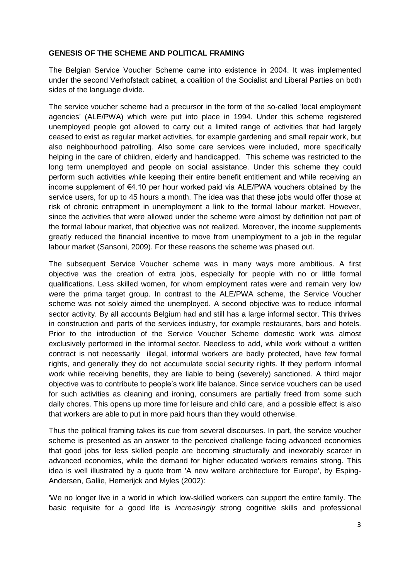## **GENESIS OF THE SCHEME AND POLITICAL FRAMING**

The Belgian Service Voucher Scheme came into existence in 2004. It was implemented under the second Verhofstadt cabinet, a coalition of the Socialist and Liberal Parties on both sides of the language divide.

The service voucher scheme had a precursor in the form of the so-called 'local employment agencies' (ALE/PWA) which were put into place in 1994. Under this scheme registered unemployed people got allowed to carry out a limited range of activities that had largely ceased to exist as regular market activities, for example gardening and small repair work, but also neighbourhood patrolling. Also some care services were included, more specifically helping in the care of children, elderly and handicapped. This scheme was restricted to the long term unemployed and people on social assistance. Under this scheme they could perform such activities while keeping their entire benefit entitlement and while receiving an income supplement of €4.10 per hour worked paid via ALE/PWA vouchers obtained by the service users, for up to 45 hours a month. The idea was that these jobs would offer those at risk of chronic entrapment in unemployment a link to the formal labour market. However, since the activities that were allowed under the scheme were almost by definition not part of the formal labour market, that objective was not realized. Moreover, the income supplements greatly reduced the financial incentive to move from unemployment to a job in the regular labour market (Sansoni, 2009). For these reasons the scheme was phased out.

The subsequent Service Voucher scheme was in many ways more ambitious. A first objective was the creation of extra jobs, especially for people with no or little formal qualifications. Less skilled women, for whom employment rates were and remain very low were the prima target group. In contrast to the ALE/PWA scheme, the Service Voucher scheme was not solely aimed the unemployed. A second objective was to reduce informal sector activity. By all accounts Belgium had and still has a large informal sector. This thrives in construction and parts of the services industry, for example restaurants, bars and hotels. Prior to the introduction of the Service Voucher Scheme domestic work was almost exclusively performed in the informal sector. Needless to add, while work without a written contract is not necessarily illegal, informal workers are badly protected, have few formal rights, and generally they do not accumulate social security rights. If they perform informal work while receiving benefits, they are liable to being (severely) sanctioned. A third major objective was to contribute to people's work life balance. Since service vouchers can be used for such activities as cleaning and ironing, consumers are partially freed from some such daily chores. This opens up more time for leisure and child care, and a possible effect is also that workers are able to put in more paid hours than they would otherwise.

Thus the political framing takes its cue from several discourses. In part, the service voucher scheme is presented as an answer to the perceived challenge facing advanced economies that good jobs for less skilled people are becoming structurally and inexorably scarcer in advanced economies, while the demand for higher educated workers remains strong. This idea is well illustrated by a quote from 'A new welfare architecture for Europe', by Esping-Andersen, Gallie, Hemerijck and Myles (2002):

'We no longer live in a world in which low-skilled workers can support the entire family. The basic requisite for a good life is *increasingly* strong cognitive skills and professional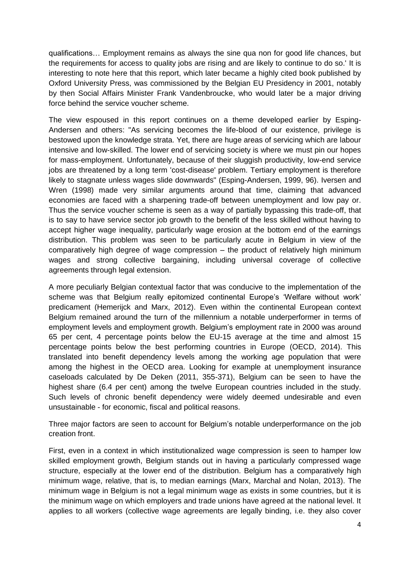qualifications… Employment remains as always the sine qua non for good life chances, but the requirements for access to quality jobs are rising and are likely to continue to do so.' It is interesting to note here that this report, which later became a highly cited book published by Oxford University Press, was commissioned by the Belgian EU Presidency in 2001, notably by then Social Affairs Minister Frank Vandenbroucke, who would later be a major driving force behind the service voucher scheme.

The view espoused in this report continues on a theme developed earlier by Esping-Andersen and others: "As servicing becomes the life-blood of our existence, privilege is bestowed upon the knowledge strata. Yet, there are huge areas of servicing which are labour intensive and low-skilled. The lower end of servicing society is where we must pin our hopes for mass-employment. Unfortunately, because of their sluggish productivity, low-end service jobs are threatened by a long term 'cost-disease' problem. Tertiary employment is therefore likely to stagnate unless wages slide downwards" (Esping-Andersen, 1999, 96). Iversen and Wren (1998) made very similar arguments around that time, claiming that advanced economies are faced with a sharpening trade-off between unemployment and low pay or. Thus the service voucher scheme is seen as a way of partially bypassing this trade-off, that is to say to have service sector job growth to the benefit of the less skilled without having to accept higher wage inequality, particularly wage erosion at the bottom end of the earnings distribution. This problem was seen to be particularly acute in Belgium in view of the comparatively high degree of wage compression – the product of relatively high minimum wages and strong collective bargaining, including universal coverage of collective agreements through legal extension.

A more peculiarly Belgian contextual factor that was conducive to the implementation of the scheme was that Belgium really epitomized continental Europe's 'Welfare without work' predicament (Hemerijck and Marx, 2012). Even within the continental European context Belgium remained around the turn of the millennium a notable underperformer in terms of employment levels and employment growth. Belgium's employment rate in 2000 was around 65 per cent, 4 percentage points below the EU-15 average at the time and almost 15 percentage points below the best performing countries in Europe (OECD, 2014). This translated into benefit dependency levels among the working age population that were among the highest in the OECD area. Looking for example at unemployment insurance caseloads calculated by De Deken (2011, 355-371), Belgium can be seen to have the highest share (6.4 per cent) among the twelve European countries included in the study. Such levels of chronic benefit dependency were widely deemed undesirable and even unsustainable - for economic, fiscal and political reasons.

Three major factors are seen to account for Belgium's notable underperformance on the job creation front.

First, even in a context in which institutionalized wage compression is seen to hamper low skilled employment growth, Belgium stands out in having a particularly compressed wage structure, especially at the lower end of the distribution. Belgium has a comparatively high minimum wage, relative, that is, to median earnings (Marx, Marchal and Nolan, 2013). The minimum wage in Belgium is not a legal minimum wage as exists in some countries, but it is the minimum wage on which employers and trade unions have agreed at the national level. It applies to all workers (collective wage agreements are legally binding, i.e. they also cover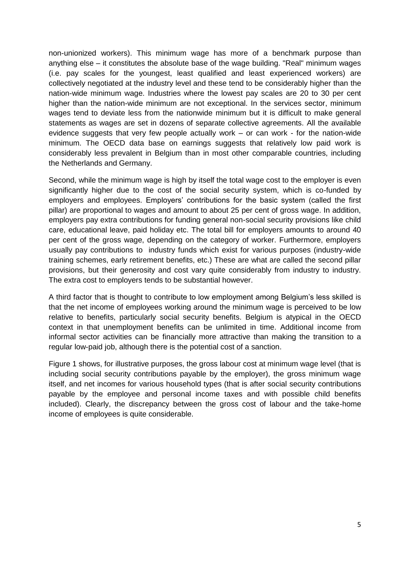non-unionized workers). This minimum wage has more of a benchmark purpose than anything else – it constitutes the absolute base of the wage building. "Real" minimum wages (i.e. pay scales for the youngest, least qualified and least experienced workers) are collectively negotiated at the industry level and these tend to be considerably higher than the nation-wide minimum wage. Industries where the lowest pay scales are 20 to 30 per cent higher than the nation-wide minimum are not exceptional. In the services sector, minimum wages tend to deviate less from the nationwide minimum but it is difficult to make general statements as wages are set in dozens of separate collective agreements. All the available evidence suggests that very few people actually work – or can work - for the nation-wide minimum. The OECD data base on earnings suggests that relatively low paid work is considerably less prevalent in Belgium than in most other comparable countries, including the Netherlands and Germany.

Second, while the minimum wage is high by itself the total wage cost to the employer is even significantly higher due to the cost of the social security system, which is co-funded by employers and employees. Employers' contributions for the basic system (called the first pillar) are proportional to wages and amount to about 25 per cent of gross wage. In addition, employers pay extra contributions for funding general non-social security provisions like child care, educational leave, paid holiday etc. The total bill for employers amounts to around 40 per cent of the gross wage, depending on the category of worker. Furthermore, employers usually pay contributions to industry funds which exist for various purposes (industry-wide training schemes, early retirement benefits, etc.) These are what are called the second pillar provisions, but their generosity and cost vary quite considerably from industry to industry. The extra cost to employers tends to be substantial however.

A third factor that is thought to contribute to low employment among Belgium's less skilled is that the net income of employees working around the minimum wage is perceived to be low relative to benefits, particularly social security benefits. Belgium is atypical in the OECD context in that unemployment benefits can be unlimited in time. Additional income from informal sector activities can be financially more attractive than making the transition to a regular low-paid job, although there is the potential cost of a sanction.

Figure 1 shows, for illustrative purposes, the gross labour cost at minimum wage level (that is including social security contributions payable by the employer), the gross minimum wage itself, and net incomes for various household types (that is after social security contributions payable by the employee and personal income taxes and with possible child benefits included). Clearly, the discrepancy between the gross cost of labour and the take-home income of employees is quite considerable.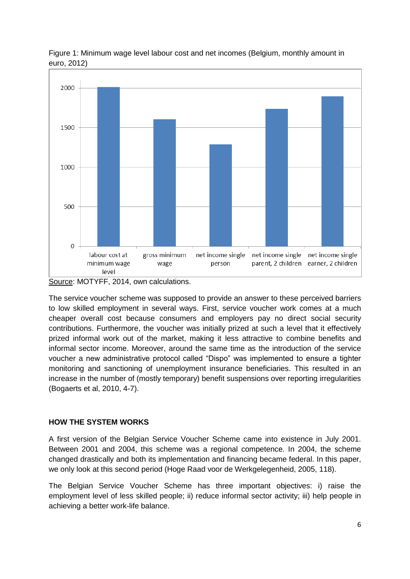

Figure 1: Minimum wage level labour cost and net incomes (Belgium, monthly amount in euro, 2012)

Source: MOTYFF, 2014, own calculations.

The service voucher scheme was supposed to provide an answer to these perceived barriers to low skilled employment in several ways. First, service voucher work comes at a much cheaper overall cost because consumers and employers pay no direct social security contributions. Furthermore, the voucher was initially prized at such a level that it effectively prized informal work out of the market, making it less attractive to combine benefits and informal sector income. Moreover, around the same time as the introduction of the service voucher a new administrative protocol called "Dispo" was implemented to ensure a tighter monitoring and sanctioning of unemployment insurance beneficiaries. This resulted in an increase in the number of (mostly temporary) benefit suspensions over reporting irregularities (Bogaerts et al, 2010, 4-7).

## **HOW THE SYSTEM WORKS**

A first version of the Belgian Service Voucher Scheme came into existence in July 2001. Between 2001 and 2004, this scheme was a regional competence. In 2004, the scheme changed drastically and both its implementation and financing became federal. In this paper, we only look at this second period (Hoge Raad voor de Werkgelegenheid, 2005, 118).

The Belgian Service Voucher Scheme has three important objectives: i) raise the employment level of less skilled people; ii) reduce informal sector activity; iii) help people in achieving a better work-life balance.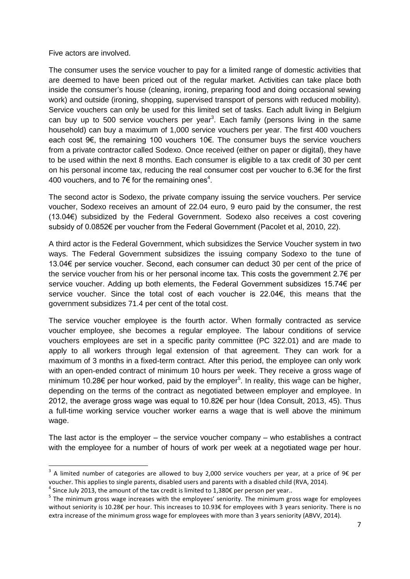Five actors are involved.

The consumer uses the service voucher to pay for a limited range of domestic activities that are deemed to have been priced out of the regular market. Activities can take place both inside the consumer's house (cleaning, ironing, preparing food and doing occasional sewing work) and outside (ironing, shopping, supervised transport of persons with reduced mobility). Service vouchers can only be used for this limited set of tasks. Each adult living in Belgium can buy up to 500 service vouchers per year<sup>3</sup>. Each family (persons living in the same household) can buy a maximum of 1,000 service vouchers per year. The first 400 vouchers each cost 9€, the remaining 100 vouchers 10€. The consumer buys the service vouchers from a private contractor called Sodexo. Once received (either on paper or digital), they have to be used within the next 8 months. Each consumer is eligible to a tax credit of 30 per cent on his personal income tax, reducing the real consumer cost per voucher to  $6.36$  for the first 400 vouchers, and to 7€ for the remaining ones<sup>4</sup>.

The second actor is Sodexo, the private company issuing the service vouchers. Per service voucher, Sodexo receives an amount of 22.04 euro, 9 euro paid by the consumer, the rest (13.04€) subsidized by the Federal Government. Sodexo also receives a cost covering subsidy of 0.0852€ per voucher from the Federal Government (Pacolet et al, 2010, 22).

A third actor is the Federal Government, which subsidizes the Service Voucher system in two ways. The Federal Government subsidizes the issuing company Sodexo to the tune of 13.04€ per service voucher. Second, each consumer can deduct 30 per cent of the price of the service voucher from his or her personal income tax. This costs the government 2.7€ per service voucher. Adding up both elements, the Federal Government subsidizes 15.74€ per service voucher. Since the total cost of each voucher is 22.04€, this means that the government subsidizes 71.4 per cent of the total cost.

The service voucher employee is the fourth actor. When formally contracted as service voucher employee, she becomes a regular employee. The labour conditions of service vouchers employees are set in a specific parity committee (PC 322.01) and are made to apply to all workers through legal extension of that agreement. They can work for a maximum of 3 months in a fixed-term contract. After this period, the employee can only work with an open-ended contract of minimum 10 hours per week. They receive a gross wage of minimum 10.28 $\epsilon$  per hour worked, paid by the employer<sup>5</sup>. In reality, this wage can be higher, depending on the terms of the contract as negotiated between employer and employee. In 2012, the average gross wage was equal to 10.82€ per hour (Idea Consult, 2013, 45). Thus a full-time working service voucher worker earns a wage that is well above the minimum wage.

The last actor is the employer – the service voucher company – who establishes a contract with the employee for a number of hours of work per week at a negotiated wage per hour.

 3 A limited number of categories are allowed to buy 2,000 service vouchers per year, at a price of 9€ per voucher. This applies to single parents, disabled users and parents with a disabled child (RVA, 2014).

<sup>&</sup>lt;sup>4</sup> Since July 2013, the amount of the tax credit is limited to 1,380€ per person per year..

<sup>&</sup>lt;sup>5</sup> The minimum gross wage increases with the employees' seniority. The minimum gross wage for employees without seniority is 10.28€ per hour. This increases to 10.93€ for employees with 3 years seniority. There is no extra increase of the minimum gross wage for employees with more than 3 years seniority (ABVV, 2014).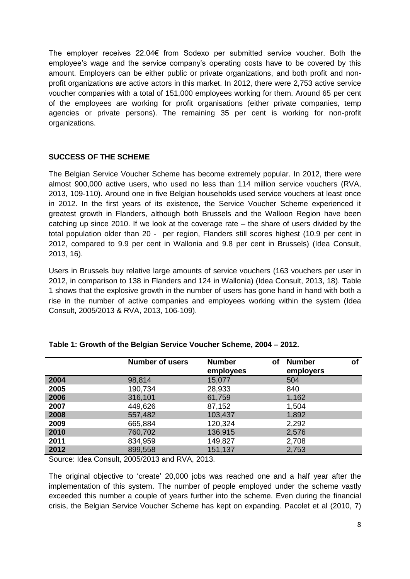The employer receives 22.04€ from Sodexo per submitted service voucher. Both the employee's wage and the service company's operating costs have to be covered by this amount. Employers can be either public or private organizations, and both profit and nonprofit organizations are active actors in this market. In 2012, there were 2,753 active service voucher companies with a total of 151,000 employees working for them. Around 65 per cent of the employees are working for profit organisations (either private companies, temp agencies or private persons). The remaining 35 per cent is working for non-profit organizations.

## **SUCCESS OF THE SCHEME**

The Belgian Service Voucher Scheme has become extremely popular. In 2012, there were almost 900,000 active users, who used no less than 114 million service vouchers (RVA, 2013, 109-110). Around one in five Belgian households used service vouchers at least once in 2012. In the first years of its existence, the Service Voucher Scheme experienced it greatest growth in Flanders, although both Brussels and the Walloon Region have been catching up since 2010. If we look at the coverage rate – the share of users divided by the total population older than 20 - per region, Flanders still scores highest (10.9 per cent in 2012, compared to 9.9 per cent in Wallonia and 9.8 per cent in Brussels) (Idea Consult, 2013, 16).

Users in Brussels buy relative large amounts of service vouchers (163 vouchers per user in 2012, in comparison to 138 in Flanders and 124 in Wallonia) (Idea Consult, 2013, 18). Table 1 shows that the explosive growth in the number of users has gone hand in hand with both a rise in the number of active companies and employees working within the system (Idea Consult, 2005/2013 & RVA, 2013, 106-109).

|      | <b>Number of users</b> | <b>Number</b><br>οf<br>employees | <b>Number</b><br><b>of</b><br>employers |
|------|------------------------|----------------------------------|-----------------------------------------|
| 2004 | 98,814                 | 15,077                           | 504                                     |
| 2005 | 190,734                | 28,933                           | 840                                     |
| 2006 | 316,101                | 61,759                           | 1,162                                   |
| 2007 | 449,626                | 87,152                           | 1,504                                   |
| 2008 | 557,482                | 103,437                          | 1,892                                   |
| 2009 | 665,884                | 120,324                          | 2,292                                   |
| 2010 | 760,702                | 136,915                          | 2,576                                   |
| 2011 | 834,959                | 149,827                          | 2,708                                   |
| 2012 | 899,558                | 151,137                          | 2,753                                   |

|  |  | Table 1: Growth of the Belgian Service Voucher Scheme, 2004 - 2012. |  |  |  |
|--|--|---------------------------------------------------------------------|--|--|--|
|  |  |                                                                     |  |  |  |

Source: Idea Consult, 2005/2013 and RVA, 2013.

The original objective to 'create' 20,000 jobs was reached one and a half year after the implementation of this system. The number of people employed under the scheme vastly exceeded this number a couple of years further into the scheme. Even during the financial crisis, the Belgian Service Voucher Scheme has kept on expanding. Pacolet et al (2010, 7)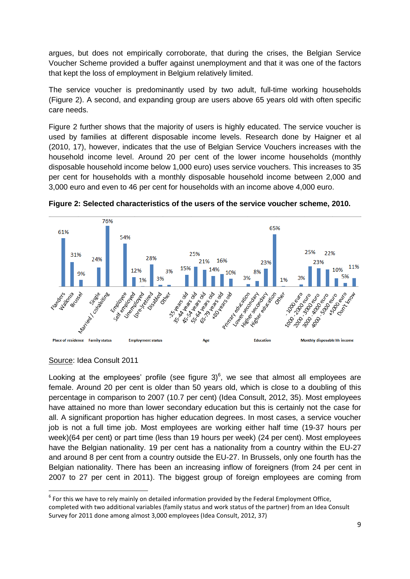argues, but does not empirically corroborate, that during the crises, the Belgian Service Voucher Scheme provided a buffer against unemployment and that it was one of the factors that kept the loss of employment in Belgium relatively limited.

The service voucher is predominantly used by two adult, full-time working households (Figure 2). A second, and expanding group are users above 65 years old with often specific care needs.

Figure 2 further shows that the majority of users is highly educated. The service voucher is used by families at different disposable income levels. Research done by Haigner et al (2010, 17), however, indicates that the use of Belgian Service Vouchers increases with the household income level. Around 20 per cent of the lower income households (monthly disposable household income below 1,000 euro) uses service vouchers. This increases to 35 per cent for households with a monthly disposable household income between 2,000 and 3,000 euro and even to 46 per cent for households with an income above 4,000 euro.



**Figure 2: Selected characteristics of the users of the service voucher scheme, 2010.**

Looking at the employees' profile (see figure  $3)^6$ , we see that almost all employees are female. Around 20 per cent is older than 50 years old, which is close to a doubling of this percentage in comparison to 2007 (10.7 per cent) (Idea Consult, 2012, 35). Most employees have attained no more than lower secondary education but this is certainly not the case for all. A significant proportion has higher education degrees. In most cases, a service voucher job is not a full time job. Most employees are working either half time (19-37 hours per week)(64 per cent) or part time (less than 19 hours per week) (24 per cent). Most employees have the Belgian nationality. 19 per cent has a nationality from a country within the EU-27 and around 8 per cent from a country outside the EU-27. In Brussels, only one fourth has the Belgian nationality. There has been an increasing inflow of foreigners (from 24 per cent in 2007 to 27 per cent in 2011). The biggest group of foreign employees are coming from

Source: Idea Consult 2011

 6 For this we have to rely mainly on detailed information provided by the Federal Employment Office, completed with two additional variables (family status and work status of the partner) from an Idea Consult Survey for 2011 done among almost 3,000 employees (Idea Consult, 2012, 37)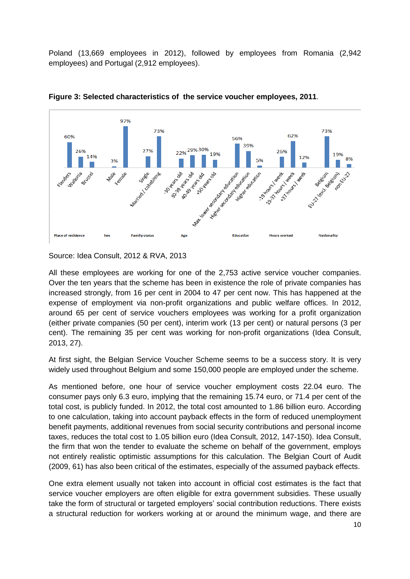Poland (13,669 employees in 2012), followed by employees from Romania (2,942 employees) and Portugal (2,912 employees).





Source: Idea Consult, 2012 & RVA, 2013

All these employees are working for one of the 2,753 active service voucher companies. Over the ten years that the scheme has been in existence the role of private companies has increased strongly, from 16 per cent in 2004 to 47 per cent now. This has happened at the expense of employment via non-profit organizations and public welfare offices. In 2012, around 65 per cent of service vouchers employees was working for a profit organization (either private companies (50 per cent), interim work (13 per cent) or natural persons (3 per cent). The remaining 35 per cent was working for non-profit organizations (Idea Consult, 2013, 27).

At first sight, the Belgian Service Voucher Scheme seems to be a success story. It is very widely used throughout Belgium and some 150,000 people are employed under the scheme.

As mentioned before, one hour of service voucher employment costs 22.04 euro. The consumer pays only 6.3 euro, implying that the remaining 15.74 euro, or 71.4 per cent of the total cost, is publicly funded. In 2012, the total cost amounted to 1.86 billion euro. According to one calculation, taking into account payback effects in the form of reduced unemployment benefit payments, additional revenues from social security contributions and personal income taxes, reduces the total cost to 1.05 billion euro (Idea Consult, 2012, 147-150). Idea Consult, the firm that won the tender to evaluate the scheme on behalf of the government, employs not entirely realistic optimistic assumptions for this calculation. The Belgian Court of Audit (2009, 61) has also been critical of the estimates, especially of the assumed payback effects.

One extra element usually not taken into account in official cost estimates is the fact that service voucher employers are often eligible for extra government subsidies. These usually take the form of structural or targeted employers' social contribution reductions. There exists a structural reduction for workers working at or around the minimum wage, and there are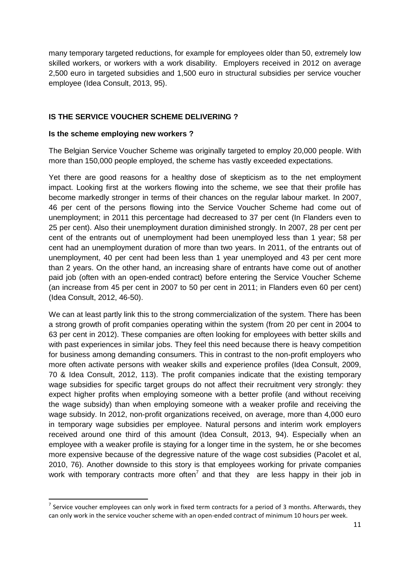many temporary targeted reductions, for example for employees older than 50, extremely low skilled workers, or workers with a work disability. Employers received in 2012 on average 2,500 euro in targeted subsidies and 1,500 euro in structural subsidies per service voucher employee (Idea Consult, 2013, 95).

# **IS THE SERVICE VOUCHER SCHEME DELIVERING ?**

#### **Is the scheme employing new workers ?**

**.** 

The Belgian Service Voucher Scheme was originally targeted to employ 20,000 people. With more than 150,000 people employed, the scheme has vastly exceeded expectations.

Yet there are good reasons for a healthy dose of skepticism as to the net employment impact. Looking first at the workers flowing into the scheme, we see that their profile has become markedly stronger in terms of their chances on the regular labour market. In 2007, 46 per cent of the persons flowing into the Service Voucher Scheme had come out of unemployment; in 2011 this percentage had decreased to 37 per cent (In Flanders even to 25 per cent). Also their unemployment duration diminished strongly. In 2007, 28 per cent per cent of the entrants out of unemployment had been unemployed less than 1 year; 58 per cent had an unemployment duration of more than two years. In 2011, of the entrants out of unemployment, 40 per cent had been less than 1 year unemployed and 43 per cent more than 2 years. On the other hand, an increasing share of entrants have come out of another paid job (often with an open-ended contract) before entering the Service Voucher Scheme (an increase from 45 per cent in 2007 to 50 per cent in 2011; in Flanders even 60 per cent) (Idea Consult, 2012, 46-50).

We can at least partly link this to the strong commercialization of the system. There has been a strong growth of profit companies operating within the system (from 20 per cent in 2004 to 63 per cent in 2012). These companies are often looking for employees with better skills and with past experiences in similar jobs. They feel this need because there is heavy competition for business among demanding consumers. This in contrast to the non-profit employers who more often activate persons with weaker skills and experience profiles (Idea Consult, 2009, 70 & Idea Consult, 2012, 113). The profit companies indicate that the existing temporary wage subsidies for specific target groups do not affect their recruitment very strongly: they expect higher profits when employing someone with a better profile (and without receiving the wage subsidy) than when employing someone with a weaker profile and receiving the wage subsidy. In 2012, non-profit organizations received, on average, more than 4,000 euro in temporary wage subsidies per employee. Natural persons and interim work employers received around one third of this amount (Idea Consult, 2013, 94). Especially when an employee with a weaker profile is staying for a longer time in the system, he or she becomes more expensive because of the degressive nature of the wage cost subsidies (Pacolet et al, 2010, 76). Another downside to this story is that employees working for private companies work with temporary contracts more often<sup>7</sup> and that they are less happy in their job in

 $^7$  Service voucher employees can only work in fixed term contracts for a period of 3 months. Afterwards, they can only work in the service voucher scheme with an open-ended contract of minimum 10 hours per week.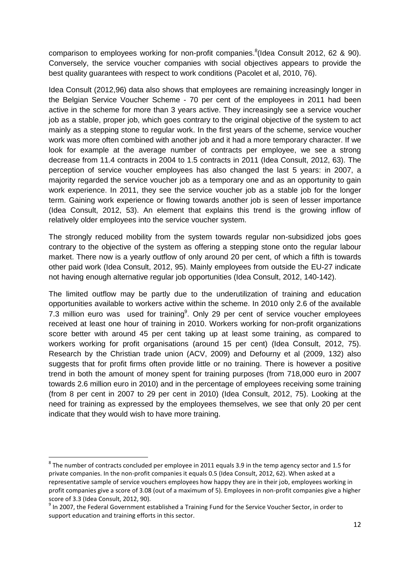comparison to employees working for non-profit companies.<sup>8</sup>(Idea Consult 2012, 62 & 90). Conversely, the service voucher companies with social objectives appears to provide the best quality guarantees with respect to work conditions (Pacolet et al, 2010, 76).

Idea Consult (2012,96) data also shows that employees are remaining increasingly longer in the Belgian Service Voucher Scheme - 70 per cent of the employees in 2011 had been active in the scheme for more than 3 years active. They increasingly see a service voucher job as a stable, proper job, which goes contrary to the original objective of the system to act mainly as a stepping stone to regular work. In the first years of the scheme, service voucher work was more often combined with another job and it had a more temporary character. If we look for example at the average number of contracts per employee, we see a strong decrease from 11.4 contracts in 2004 to 1.5 contracts in 2011 (Idea Consult, 2012, 63). The perception of service voucher employees has also changed the last 5 years: in 2007, a majority regarded the service voucher job as a temporary one and as an opportunity to gain work experience. In 2011, they see the service voucher job as a stable job for the longer term. Gaining work experience or flowing towards another job is seen of lesser importance (Idea Consult, 2012, 53). An element that explains this trend is the growing inflow of relatively older employees into the service voucher system.

The strongly reduced mobility from the system towards regular non-subsidized jobs goes contrary to the objective of the system as offering a stepping stone onto the regular labour market. There now is a yearly outflow of only around 20 per cent, of which a fifth is towards other paid work (Idea Consult, 2012, 95). Mainly employees from outside the EU-27 indicate not having enough alternative regular job opportunities (Idea Consult, 2012, 140-142).

The limited outflow may be partly due to the underutilization of training and education opportunities available to workers active within the scheme. In 2010 only 2.6 of the available 7.3 million euro was used for training<sup>9</sup>. Only 29 per cent of service voucher employees received at least one hour of training in 2010. Workers working for non-profit organizations score better with around 45 per cent taking up at least some training, as compared to workers working for profit organisations (around 15 per cent) (Idea Consult, 2012, 75). Research by the Christian trade union (ACV, 2009) and Defourny et al (2009, 132) also suggests that for profit firms often provide little or no training. There is however a positive trend in both the amount of money spent for training purposes (from 718,000 euro in 2007 towards 2.6 million euro in 2010) and in the percentage of employees receiving some training (from 8 per cent in 2007 to 29 per cent in 2010) (Idea Consult, 2012, 75). Looking at the need for training as expressed by the employees themselves, we see that only 20 per cent indicate that they would wish to have more training.

1

 $^8$  The number of contracts concluded per employee in 2011 equals 3.9 in the temp agency sector and 1.5 for private companies. In the non-profit companies it equals 0.5 (Idea Consult, 2012, 62). When asked at a representative sample of service vouchers employees how happy they are in their job, employees working in profit companies give a score of 3.08 (out of a maximum of 5). Employees in non-profit companies give a higher score of 3.3 (Idea Consult, 2012, 90).

 $^9$  In 2007, the Federal Government established a Training Fund for the Service Voucher Sector, in order to support education and training efforts in this sector.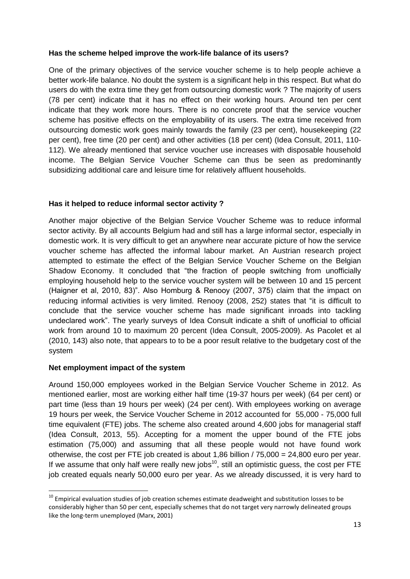## **Has the scheme helped improve the work-life balance of its users?**

One of the primary objectives of the service voucher scheme is to help people achieve a better work-life balance. No doubt the system is a significant help in this respect. But what do users do with the extra time they get from outsourcing domestic work ? The majority of users (78 per cent) indicate that it has no effect on their working hours. Around ten per cent indicate that they work more hours. There is no concrete proof that the service voucher scheme has positive effects on the employability of its users. The extra time received from outsourcing domestic work goes mainly towards the family (23 per cent), housekeeping (22 per cent), free time (20 per cent) and other activities (18 per cent) (Idea Consult, 2011, 110- 112). We already mentioned that service voucher use increases with disposable household income. The Belgian Service Voucher Scheme can thus be seen as predominantly subsidizing additional care and leisure time for relatively affluent households.

# **Has it helped to reduce informal sector activity ?**

Another major objective of the Belgian Service Voucher Scheme was to reduce informal sector activity. By all accounts Belgium had and still has a large informal sector, especially in domestic work. It is very difficult to get an anywhere near accurate picture of how the service voucher scheme has affected the informal labour market. An Austrian research project attempted to estimate the effect of the Belgian Service Voucher Scheme on the Belgian Shadow Economy. It concluded that "the fraction of people switching from unofficially employing household help to the service voucher system will be between 10 and 15 percent (Haigner et al, 2010, 83)". Also Homburg & Renooy (2007, 375) claim that the impact on reducing informal activities is very limited. Renooy (2008, 252) states that "it is difficult to conclude that the service voucher scheme has made significant inroads into tackling undeclared work". The yearly surveys of Idea Consult indicate a shift of unofficial to official work from around 10 to maximum 20 percent (Idea Consult, 2005-2009). As Pacolet et al (2010, 143) also note, that appears to to be a poor result relative to the budgetary cost of the system

## **Net employment impact of the system**

**.** 

Around 150,000 employees worked in the Belgian Service Voucher Scheme in 2012. As mentioned earlier, most are working either half time (19-37 hours per week) (64 per cent) or part time (less than 19 hours per week) (24 per cent). With employees working on average 19 hours per week, the Service Voucher Scheme in 2012 accounted for 55,000 - 75,000 full time equivalent (FTE) jobs. The scheme also created around 4,600 jobs for managerial staff (Idea Consult, 2013, 55). Accepting for a moment the upper bound of the FTE jobs estimation (75,000) and assuming that all these people would not have found work otherwise, the cost per FTE job created is about 1,86 billion / 75,000 = 24,800 euro per year. If we assume that only half were really new jobs<sup>10</sup>, still an optimistic guess, the cost per FTE job created equals nearly 50,000 euro per year. As we already discussed, it is very hard to

 $^{10}$  Empirical evaluation studies of job creation schemes estimate deadweight and substitution losses to be considerably higher than 50 per cent, especially schemes that do not target very narrowly delineated groups like the long-term unemployed (Marx, 2001)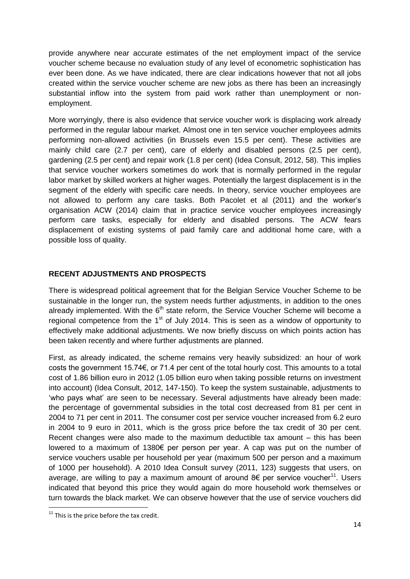provide anywhere near accurate estimates of the net employment impact of the service voucher scheme because no evaluation study of any level of econometric sophistication has ever been done. As we have indicated, there are clear indications however that not all jobs created within the service voucher scheme are new jobs as there has been an increasingly substantial inflow into the system from paid work rather than unemployment or nonemployment.

More worryingly, there is also evidence that service voucher work is displacing work already performed in the regular labour market. Almost one in ten service voucher employees admits performing non-allowed activities (in Brussels even 15.5 per cent). These activities are mainly child care (2.7 per cent), care of elderly and disabled persons (2.5 per cent), gardening (2.5 per cent) and repair work (1.8 per cent) (Idea Consult, 2012, 58). This implies that service voucher workers sometimes do work that is normally performed in the regular labor market by skilled workers at higher wages. Potentially the largest displacement is in the segment of the elderly with specific care needs. In theory, service voucher employees are not allowed to perform any care tasks. Both Pacolet et al (2011) and the worker's organisation ACW (2014) claim that in practice service voucher employees increasingly perform care tasks, especially for elderly and disabled persons. The ACW fears displacement of existing systems of paid family care and additional home care, with a possible loss of quality.

# **RECENT ADJUSTMENTS AND PROSPECTS**

There is widespread political agreement that for the Belgian Service Voucher Scheme to be sustainable in the longer run, the system needs further adjustments, in addition to the ones already implemented. With the  $6<sup>th</sup>$  state reform, the Service Voucher Scheme will become a regional competence from the  $1<sup>st</sup>$  of July 2014. This is seen as a window of opportunity to effectively make additional adjustments. We now briefly discuss on which points action has been taken recently and where further adjustments are planned.

First, as already indicated, the scheme remains very heavily subsidized: an hour of work costs the government 15.74€, or 71.4 per cent of the total hourly cost. This amounts to a total cost of 1.86 billion euro in 2012 (1.05 billion euro when taking possible returns on investment into account) (Idea Consult, 2012, 147-150). To keep the system sustainable, adjustments to 'who pays what' are seen to be necessary. Several adjustments have already been made: the percentage of governmental subsidies in the total cost decreased from 81 per cent in 2004 to 71 per cent in 2011. The consumer cost per service voucher increased from 6.2 euro in 2004 to 9 euro in 2011, which is the gross price before the tax credit of 30 per cent. Recent changes were also made to the maximum deductible tax amount – this has been lowered to a maximum of 1380€ per person per year. A cap was put on the number of service vouchers usable per household per year (maximum 500 per person and a maximum of 1000 per household). A 2010 Idea Consult survey (2011, 123) suggests that users, on average, are willing to pay a maximum amount of around  $8 \epsilon$  per service voucher<sup>11</sup>. Users indicated that beyond this price they would again do more household work themselves or turn towards the black market. We can observe however that the use of service vouchers did

**.** 

 $11$  This is the price before the tax credit.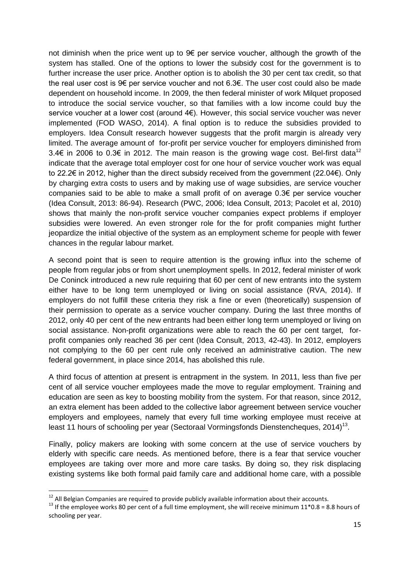not diminish when the price went up to 9€ per service voucher, although the growth of the system has stalled. One of the options to lower the subsidy cost for the government is to further increase the user price. Another option is to abolish the 30 per cent tax credit, so that the real user cost is 9€ per service voucher and not 6.3€. The user cost could also be made dependent on household income. In 2009, the then federal minister of work Milquet proposed to introduce the social service voucher, so that families with a low income could buy the service voucher at a lower cost (around 4€). However, this social service voucher was never implemented (FOD WASO, 2014). A final option is to reduce the subsidies provided to employers. Idea Consult research however suggests that the profit margin is already very limited. The average amount of for-profit per service voucher for employers diminished from 3.4€ in 2006 to 0.3€ in 2012. The main reason is the growing wage cost. Bel-first data<sup>12</sup> indicate that the average total employer cost for one hour of service voucher work was equal to 22.2€ in 2012, higher than the direct subsidy received from the government (22.04€). Only by charging extra costs to users and by making use of wage subsidies, are service voucher companies said to be able to make a small profit of on average 0.3€ per service voucher (Idea Consult, 2013: 86-94). Research (PWC, 2006; Idea Consult, 2013; Pacolet et al, 2010) shows that mainly the non-profit service voucher companies expect problems if employer subsidies were lowered. An even stronger role for the for profit companies might further jeopardize the initial objective of the system as an employment scheme for people with fewer chances in the regular labour market.

A second point that is seen to require attention is the growing influx into the scheme of people from regular jobs or from short unemployment spells. In 2012, federal minister of work De Coninck introduced a new rule requiring that 60 per cent of new entrants into the system either have to be long term unemployed or living on social assistance (RVA, 2014). If employers do not fulfill these criteria they risk a fine or even (theoretically) suspension of their permission to operate as a service voucher company. During the last three months of 2012, only 40 per cent of the new entrants had been either long term unemployed or living on social assistance. Non-profit organizations were able to reach the 60 per cent target, forprofit companies only reached 36 per cent (Idea Consult, 2013, 42-43). In 2012, employers not complying to the 60 per cent rule only received an administrative caution. The new federal government, in place since 2014, has abolished this rule.

A third focus of attention at present is entrapment in the system. In 2011, less than five per cent of all service voucher employees made the move to regular employment. Training and education are seen as key to boosting mobility from the system. For that reason, since 2012, an extra element has been added to the collective labor agreement between service voucher employers and employees, namely that every full time working employee must receive at least 11 hours of schooling per year (Sectoraal Vormingsfonds Dienstencheques, 2014)<sup>13</sup>.

Finally, policy makers are looking with some concern at the use of service vouchers by elderly with specific care needs. As mentioned before, there is a fear that service voucher employees are taking over more and more care tasks. By doing so, they risk displacing existing systems like both formal paid family care and additional home care, with a possible

**.** 

 $12$  All Belgian Companies are required to provide publicly available information about their accounts.

<sup>&</sup>lt;sup>13</sup> If the employee works 80 per cent of a full time employment, she will receive minimum  $11*0.8 = 8.8$  hours of schooling per year.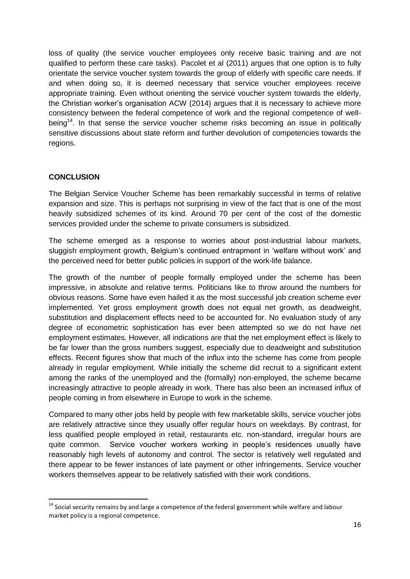loss of quality (the service voucher employees only receive basic training and are not qualified to perform these care tasks). Pacolet et al (2011) argues that one option is to fully orientate the service voucher system towards the group of elderly with specific care needs. If and when doing so, it is deemed necessary that service voucher employees receive appropriate training. Even without orienting the service voucher system towards the elderly, the Christian worker's organisation ACW (2014) argues that it is necessary to achieve more consistency between the federal competence of work and the regional competence of wellbeing<sup>14</sup>. In that sense the service voucher scheme risks becoming an issue in politically sensitive discussions about state reform and further devolution of competencies towards the regions.

# **CONCLUSION**

**.** 

The Belgian Service Voucher Scheme has been remarkably successful in terms of relative expansion and size. This is perhaps not surprising in view of the fact that is one of the most heavily subsidized schemes of its kind. Around 70 per cent of the cost of the domestic services provided under the scheme to private consumers is subsidized.

The scheme emerged as a response to worries about post-industrial labour markets, sluggish employment growth, Belgium's continued entrapment in 'welfare without work' and the perceived need for better public policies in support of the work-life balance.

The growth of the number of people formally employed under the scheme has been impressive, in absolute and relative terms. Politicians like to throw around the numbers for obvious reasons. Some have even hailed it as the most successful job creation scheme ever implemented. Yet gross employment growth does not equal net growth, as deadweight, substitution and displacement effects need to be accounted for. No evaluation study of any degree of econometric sophistication has ever been attempted so we do not have net employment estimates. However, all indications are that the net employment effect is likely to be far lower than the gross numbers suggest, especially due to deadweight and substitution effects. Recent figures show that much of the influx into the scheme has come from people already in regular employment. While initially the scheme did recruit to a significant extent among the ranks of the unemployed and the (formally) non-employed, the scheme became increasingly attractive to people already in work. There has also been an increased influx of people coming in from elsewhere in Europe to work in the scheme.

Compared to many other jobs held by people with few marketable skills, service voucher jobs are relatively attractive since they usually offer regular hours on weekdays. By contrast, for less qualified people employed in retail, restaurants etc. non-standard, irregular hours are quite common. Service voucher workers working in people's residences usually have reasonably high levels of autonomy and control. The sector is relatively well regulated and there appear to be fewer instances of late payment or other infringements. Service voucher workers themselves appear to be relatively satisfied with their work conditions.

 $14$  Social security remains by and large a competence of the federal government while welfare and labour market policy is a regional competence.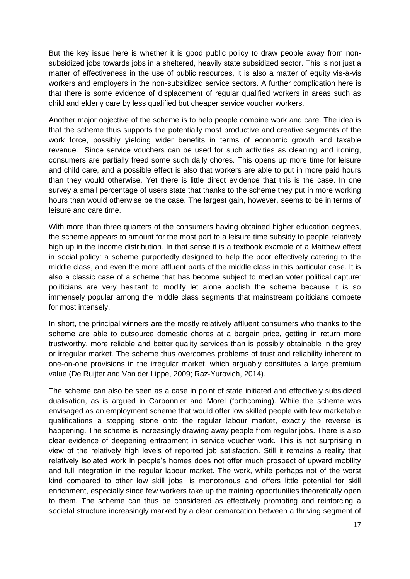But the key issue here is whether it is good public policy to draw people away from nonsubsidized jobs towards jobs in a sheltered, heavily state subsidized sector. This is not just a matter of effectiveness in the use of public resources, it is also a matter of equity vis-à-vis workers and employers in the non-subsidized service sectors. A further complication here is that there is some evidence of displacement of regular qualified workers in areas such as child and elderly care by less qualified but cheaper service voucher workers.

Another major objective of the scheme is to help people combine work and care. The idea is that the scheme thus supports the potentially most productive and creative segments of the work force, possibly yielding wider benefits in terms of economic growth and taxable revenue. Since service vouchers can be used for such activities as cleaning and ironing, consumers are partially freed some such daily chores. This opens up more time for leisure and child care, and a possible effect is also that workers are able to put in more paid hours than they would otherwise. Yet there is little direct evidence that this is the case. In one survey a small percentage of users state that thanks to the scheme they put in more working hours than would otherwise be the case. The largest gain, however, seems to be in terms of leisure and care time.

With more than three quarters of the consumers having obtained higher education degrees, the scheme appears to amount for the most part to a leisure time subsidy to people relatively high up in the income distribution. In that sense it is a textbook example of a Matthew effect in social policy: a scheme purportedly designed to help the poor effectively catering to the middle class, and even the more affluent parts of the middle class in this particular case. It is also a classic case of a scheme that has become subject to median voter political capture: politicians are very hesitant to modify let alone abolish the scheme because it is so immensely popular among the middle class segments that mainstream politicians compete for most intensely.

In short, the principal winners are the mostly relatively affluent consumers who thanks to the scheme are able to outsource domestic chores at a bargain price, getting in return more trustworthy, more reliable and better quality services than is possibly obtainable in the grey or irregular market. The scheme thus overcomes problems of trust and reliability inherent to one-on-one provisions in the irregular market, which arguably constitutes a large premium value (De Ruijter and Van der Lippe, 2009; Raz-Yurovich, 2014).

The scheme can also be seen as a case in point of state initiated and effectively subsidized dualisation, as is argued in Carbonnier and Morel (forthcoming). While the scheme was envisaged as an employment scheme that would offer low skilled people with few marketable qualifications a stepping stone onto the regular labour market, exactly the reverse is happening. The scheme is increasingly drawing away people from regular jobs. There is also clear evidence of deepening entrapment in service voucher work. This is not surprising in view of the relatively high levels of reported job satisfaction. Still it remains a reality that relatively isolated work in people's homes does not offer much prospect of upward mobility and full integration in the regular labour market. The work, while perhaps not of the worst kind compared to other low skill jobs, is monotonous and offers little potential for skill enrichment, especially since few workers take up the training opportunities theoretically open to them. The scheme can thus be considered as effectively promoting and reinforcing a societal structure increasingly marked by a clear demarcation between a thriving segment of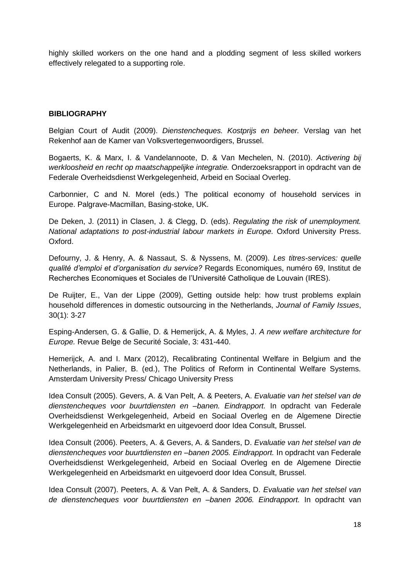highly skilled workers on the one hand and a plodding segment of less skilled workers effectively relegated to a supporting role.

## **BIBLIOGRAPHY**

Belgian Court of Audit (2009). *Dienstencheques. Kostprijs en beheer.* Verslag van het Rekenhof aan de Kamer van Volksvertegenwoordigers, Brussel.

Bogaerts, K. & Marx, I. & Vandelannoote, D. & Van Mechelen, N. (2010). *Activering bij werkloosheid en recht op maatschappelijke integratie.* Onderzoeksrapport in opdracht van de Federale Overheidsdienst Werkgelegenheid, Arbeid en Sociaal Overleg.

Carbonnier, C and N. Morel (eds.) The political economy of household services in Europe. Palgrave-Macmillan, Basing-stoke, UK.

De Deken, J. (2011) in Clasen, J. & Clegg, D. (eds). *Regulating the risk of unemployment. National adaptations to post-industrial labour markets in Europe.* Oxford University Press. Oxford.

Defourny, J. & Henry, A. & Nassaut, S. & Nyssens, M. (2009). *Les titres-services: quelle qualité d'emploi et d'organisation du service?* Regards Economiques, numéro 69, Institut de Recherches Economiques et Sociales de l'Université Catholique de Louvain (IRES).

De Ruijter, E., Van der Lippe (2009), Getting outside help: how trust problems explain household differences in domestic outsourcing in the Netherlands, *Journal of Family Issues*, 30(1): 3-27

Esping-Andersen, G. & Gallie, D. & Hemerijck, A. & Myles, J. *A new welfare architecture for Europe.* Revue Belge de Securité Sociale, 3: 431-440.

Hemerijck, A. and I. Marx (2012), Recalibrating Continental Welfare in Belgium and the Netherlands, in Palier, B. (ed.), The Politics of Reform in Continental Welfare Systems. Amsterdam University Press/ Chicago University Press

Idea Consult (2005). Gevers, A. & Van Pelt, A. & Peeters, A. *Evaluatie van het stelsel van de dienstencheques voor buurtdiensten en –banen. Eindrapport.* In opdracht van Federale Overheidsdienst Werkgelegenheid, Arbeid en Sociaal Overleg en de Algemene Directie Werkgelegenheid en Arbeidsmarkt en uitgevoerd door Idea Consult, Brussel.

Idea Consult (2006). Peeters, A. & Gevers, A. & Sanders, D. *Evaluatie van het stelsel van de dienstencheques voor buurtdiensten en –banen 2005. Eindrapport.* In opdracht van Federale Overheidsdienst Werkgelegenheid, Arbeid en Sociaal Overleg en de Algemene Directie Werkgelegenheid en Arbeidsmarkt en uitgevoerd door Idea Consult, Brussel.

Idea Consult (2007). Peeters, A. & Van Pelt, A. & Sanders, D. *Evaluatie van het stelsel van de dienstencheques voor buurtdiensten en –banen 2006. Eindrapport.* In opdracht van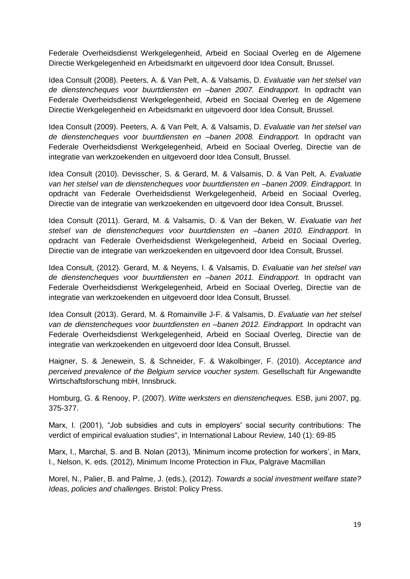Federale Overheidsdienst Werkgelegenheid, Arbeid en Sociaal Overleg en de Algemene Directie Werkgelegenheid en Arbeidsmarkt en uitgevoerd door Idea Consult, Brussel.

Idea Consult (2008). Peeters, A. & Van Pelt, A. & Valsamis, D. *Evaluatie van het stelsel van de dienstencheques voor buurtdiensten en –banen 2007. Eindrapport.* In opdracht van Federale Overheidsdienst Werkgelegenheid, Arbeid en Sociaal Overleg en de Algemene Directie Werkgelegenheid en Arbeidsmarkt en uitgevoerd door Idea Consult, Brussel.

Idea Consult (2009). Peeters, A. & Van Pelt, A. & Valsamis, D. *Evaluatie van het stelsel van de dienstencheques voor buurtdiensten en –banen 2008. Eindrapport.* In opdracht van Federale Overheidsdienst Werkgelegenheid, Arbeid en Sociaal Overleg, Directie van de integratie van werkzoekenden en uitgevoerd door Idea Consult, Brussel.

Idea Consult (2010). Devisscher, S. & Gerard, M. & Valsamis, D. & Van Pelt, A. *Evaluatie van het stelsel van de dienstencheques voor buurtdiensten en –banen 2009. Eindrapport.* In opdracht van Federale Overheidsdienst Werkgelegenheid, Arbeid en Sociaal Overleg, Directie van de integratie van werkzoekenden en uitgevoerd door Idea Consult, Brussel.

Idea Consult (2011). Gerard, M. & Valsamis, D. & Van der Beken, W. *Evaluatie van het stelsel van de dienstencheques voor buurtdiensten en –banen 2010. Eindrapport.* In opdracht van Federale Overheidsdienst Werkgelegenheid, Arbeid en Sociaal Overleg, Directie van de integratie van werkzoekenden en uitgevoerd door Idea Consult, Brussel.

Idea Consult, (2012). Gerard, M. & Neyens, I. & Valsamis, D. *Evaluatie van het stelsel van de dienstencheques voor buurtdiensten en –banen 2011. Eindrapport.* In opdracht van Federale Overheidsdienst Werkgelegenheid, Arbeid en Sociaal Overleg, Directie van de integratie van werkzoekenden en uitgevoerd door Idea Consult, Brussel.

Idea Consult (2013). Gerard, M. & Romainville J-F. & Valsamis, D. *Evaluatie van het stelsel van de dienstencheques voor buurtdiensten en –banen 2012. Eindrapport.* In opdracht van Federale Overheidsdienst Werkgelegenheid, Arbeid en Sociaal Overleg, Directie van de integratie van werkzoekenden en uitgevoerd door Idea Consult, Brussel.

Haigner, S. & Jenewein, S. & Schneider, F. & Wakolbinger, F. (2010). *Acceptance and perceived prevalence of the Belgium service voucher system.* Gesellschaft für Angewandte Wirtschaftsforschung mbH, Innsbruck.

Homburg, G. & Renooy, P. (2007). *Witte werksters en dienstencheques.* ESB, juni 2007, pg. 375-377.

Marx, I. (2001), "Job subsidies and cuts in employers' social security contributions: The verdict of empirical evaluation studies", in International Labour Review, 140 (1): 69-85

Marx, I., Marchal, S. and B. Nolan (2013), 'Minimum income protection for workers', in Marx, I., Nelson, K. eds. (2012), Minimum Income Protection in Flux, Palgrave Macmillan

Morel, N., Palier, B. and Palme, J. (eds.), (2012). *Towards a social investment welfare state? Ideas, policies and challenges*. Bristol: Policy Press.